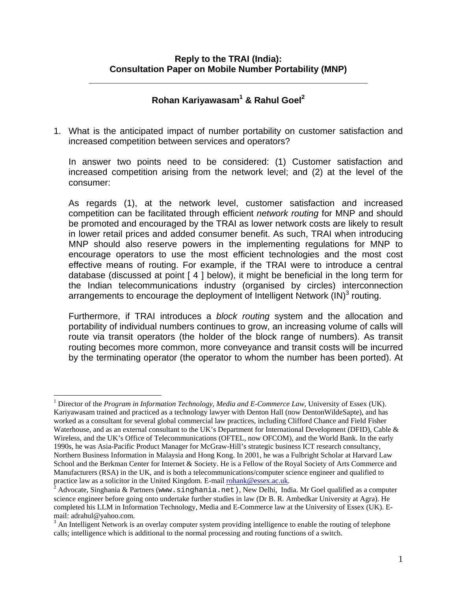**\_\_\_\_\_\_\_\_\_\_\_\_\_\_\_\_\_\_\_\_\_\_\_\_\_\_\_\_\_\_\_\_\_\_\_\_\_\_\_\_\_\_\_\_\_\_\_\_\_\_\_\_\_\_\_\_** 

## **Rohan Kariyawasam[1](#page-0-0) & Rahul Goe[l2](#page-0-1)**

1. What is the anticipated impact of number portability on customer satisfaction and increased competition between services and operators?

In answer two points need to be considered: (1) Customer satisfaction and increased competition arising from the network level; and (2) at the level of the consumer:

As regards (1), at the network level, customer satisfaction and increased competition can be facilitated through efficient *network routing* for MNP and should be promoted and encouraged by the TRAI as lower network costs are likely to result in lower retail prices and added consumer benefit. As such, TRAI when introducing MNP should also reserve powers in the implementing regulations for MNP to encourage operators to use the most efficient technologies and the most cost effective means of routing. For example, if the TRAI were to introduce a central database (discussed at point [ 4 ] below), it might be beneficial in the long term for the Indian telecommunications industry (organised by circles) interconnection arrangements to encourage the deployment of Intelligent Network  $\mathsf{(IN)}^3$  $\mathsf{(IN)}^3$  routing.

Furthermore, if TRAI introduces a *block routing* system and the allocation and portability of individual numbers continues to grow, an increasing volume of calls will route via transit operators (the holder of the block range of numbers). As transit routing becomes more common, more conveyance and transit costs will be incurred by the terminating operator (the operator to whom the number has been ported). At

<span id="page-0-0"></span><sup>&</sup>lt;u>.</u> <sup>1</sup> Director of the *Program in Information Technology, Media and E-Commerce Law*, University of Essex (UK). Kariyawasam trained and practiced as a technology lawyer with Denton Hall (now DentonWildeSapte), and has worked as a consultant for several global commercial law practices, including Clifford Chance and Field Fisher Waterhouse, and as an external consultant to the UK's Department for International Development (DFID), Cable & Wireless, and the UK's Office of Telecommunications (OFTEL, now OFCOM), and the World Bank. In the early 1990s, he was Asia-Pacific Product Manager for McGraw-Hill's strategic business ICT research consultancy, Northern Business Information in Malaysia and Hong Kong. In 2001, he was a Fulbright Scholar at Harvard Law School and the Berkman Center for Internet & Society. He is a Fellow of the Royal Society of Arts Commerce and Manufacturers (RSA) in the UK, and is both a telecommunications/computer science engineer and qualified to practice law as a solicitor in the United Kingdom. E-mail [rohank@essex.ac.uk.](mailto:rohank@essex.ac.uk)

<span id="page-0-1"></span> $^2$  Advocate, Singhania & Partners (www.singhania.net), New Delhi, India. Mr Goel qualified as a computer science engineer before going onto undertake further studies in law (Dr B. R. Ambedkar University at Agra). He completed his LLM in Information Technology, Media and E-Commerce law at the University of Essex (UK). Email: adrahul@yahoo.com. 3

<span id="page-0-2"></span><sup>&</sup>lt;sup>3</sup> An Intelligent Network is an overlay computer system providing intelligence to enable the routing of telephone calls; intelligence which is additional to the normal processing and routing functions of a switch.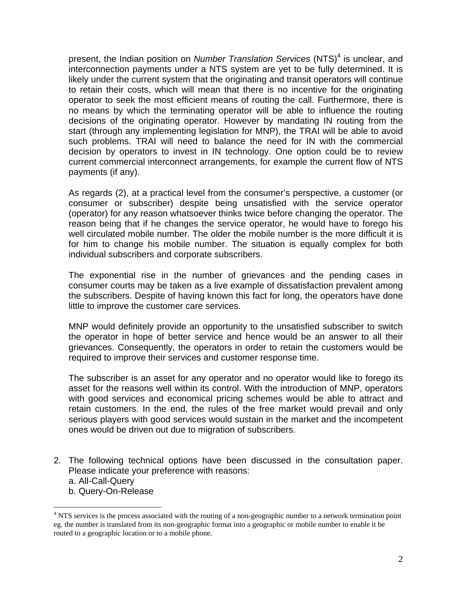present, the Indian position on *Number Translation Services* (NTS)<sup>[4](#page-1-0)</sup> is unclear, and interconnection payments under a NTS system are yet to be fully determined. It is likely under the current system that the originating and transit operators will continue to retain their costs, which will mean that there is no incentive for the originating operator to seek the most efficient means of routing the call. Furthermore, there is no means by which the terminating operator will be able to influence the routing decisions of the originating operator. However by mandating IN routing from the start (through any implementing legislation for MNP), the TRAI will be able to avoid such problems. TRAI will need to balance the need for IN with the commercial decision by operators to invest in IN technology. One option could be to review current commercial interconnect arrangements, for example the current flow of NTS payments (if any).

As regards (2), at a practical level from the consumer's perspective, a customer (or consumer or subscriber) despite being unsatisfied with the service operator (operator) for any reason whatsoever thinks twice before changing the operator. The reason being that if he changes the service operator, he would have to forego his well circulated mobile number. The older the mobile number is the more difficult it is for him to change his mobile number. The situation is equally complex for both individual subscribers and corporate subscribers.

The exponential rise in the number of grievances and the pending cases in consumer courts may be taken as a live example of dissatisfaction prevalent among the subscribers. Despite of having known this fact for long, the operators have done little to improve the customer care services.

MNP would definitely provide an opportunity to the unsatisfied subscriber to switch the operator in hope of better service and hence would be an answer to all their grievances. Consequently, the operators in order to retain the customers would be required to improve their services and customer response time.

The subscriber is an asset for any operator and no operator would like to forego its asset for the reasons well within its control. With the introduction of MNP, operators with good services and economical pricing schemes would be able to attract and retain customers. In the end, the rules of the free market would prevail and only serious players with good services would sustain in the market and the incompetent ones would be driven out due to migration of subscribers.

- 2. The following technical options have been discussed in the consultation paper. Please indicate your preference with reasons:
	- a. All-Call-Query

 $\overline{a}$ 

b. Query-On-Release

<span id="page-1-0"></span><sup>&</sup>lt;sup>4</sup> NTS services is the process associated with the routing of a non-geographic number to a network termination point eg. the number is translated from its non-geographic format into a geographic or mobile number to enable it be routed to a geographic location or to a mobile phone.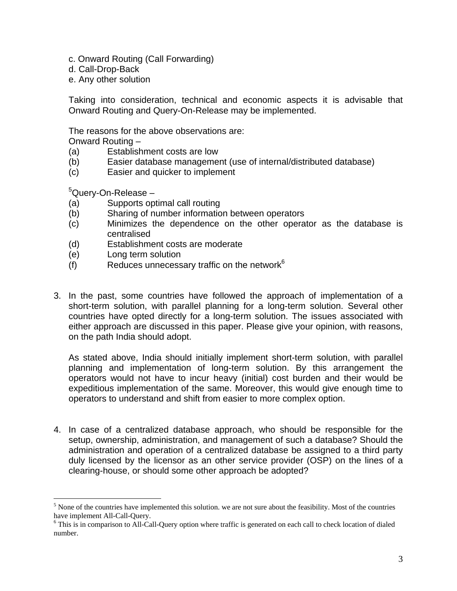- c. Onward Routing (Call Forwarding)
- d. Call-Drop-Back
- e. Any other solution

Taking into consideration, technical and economic aspects it is advisable that Onward Routing and Query-On-Release may be implemented.

The reasons for the above observations are:

Onward Routing –

- (a) Establishment costs are low
- (b) Easier database management (use of internal/distributed database)
- (c) Easier and quicker to implement

<sup>[5](#page-2-0)</sup>Query-On-Release –

- (a) Supports optimal call routing
- (b) Sharing of number information between operators
- (c) Minimizes the dependence on the other operator as the database is centralised
- (d) Establishment costs are moderate
- (e) Long term solution
- $(f)$  Reduces unnecessary traffic on the network<sup>6</sup>
- 3. In the past, some countries have followed the approach of implementation of a short-term solution, with parallel planning for a long-term solution. Several other countries have opted directly for a long-term solution. The issues associated with either approach are discussed in this paper. Please give your opinion, with reasons, on the path India should adopt.

As stated above, India should initially implement short-term solution, with parallel planning and implementation of long-term solution. By this arrangement the operators would not have to incur heavy (initial) cost burden and their would be expeditious implementation of the same. Moreover, this would give enough time to operators to understand and shift from easier to more complex option.

4. In case of a centralized database approach, who should be responsible for the setup, ownership, administration, and management of such a database? Should the administration and operation of a centralized database be assigned to a third party duly licensed by the licensor as an other service provider (OSP) on the lines of a clearing-house, or should some other approach be adopted?

<span id="page-2-0"></span><sup>&</sup>lt;sup>5</sup> None of the countries have implemented this solution. we are not sure about the feasibility. Most of the countries have implement All-Call-Query. 6

<span id="page-2-1"></span>This is in comparison to All-Call-Query option where traffic is generated on each call to check location of dialed number.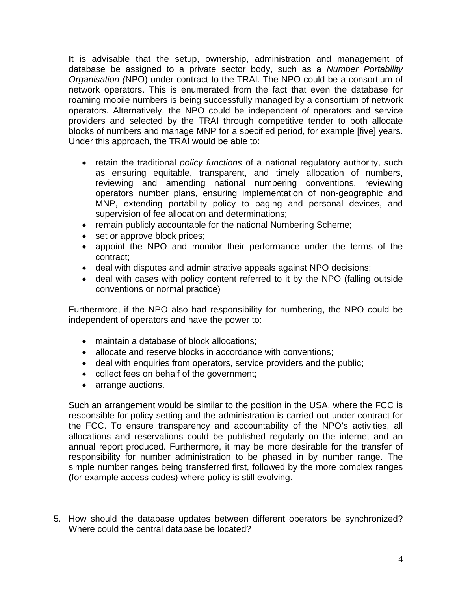It is advisable that the setup, ownership, administration and management of database be assigned to a private sector body, such as a *Number Portability Organisation (*NPO) under contract to the TRAI. The NPO could be a consortium of network operators. This is enumerated from the fact that even the database for roaming mobile numbers is being successfully managed by a consortium of network operators. Alternatively, the NPO could be independent of operators and service providers and selected by the TRAI through competitive tender to both allocate blocks of numbers and manage MNP for a specified period, for example [five] years. Under this approach, the TRAI would be able to:

- retain the traditional *policy functions* of a national regulatory authority, such as ensuring equitable, transparent, and timely allocation of numbers, reviewing and amending national numbering conventions, reviewing operators number plans, ensuring implementation of non-geographic and MNP, extending portability policy to paging and personal devices, and supervision of fee allocation and determinations;
- remain publicly accountable for the national Numbering Scheme;
- set or approve block prices;
- appoint the NPO and monitor their performance under the terms of the contract;
- deal with disputes and administrative appeals against NPO decisions;
- deal with cases with policy content referred to it by the NPO (falling outside conventions or normal practice)

Furthermore, if the NPO also had responsibility for numbering, the NPO could be independent of operators and have the power to:

- maintain a database of block allocations:
- allocate and reserve blocks in accordance with conventions;
- deal with enquiries from operators, service providers and the public;
- collect fees on behalf of the government;
- arrange auctions.

Such an arrangement would be similar to the position in the USA, where the FCC is responsible for policy setting and the administration is carried out under contract for the FCC. To ensure transparency and accountability of the NPO's activities, all allocations and reservations could be published regularly on the internet and an annual report produced. Furthermore, it may be more desirable for the transfer of responsibility for number administration to be phased in by number range. The simple number ranges being transferred first, followed by the more complex ranges (for example access codes) where policy is still evolving.

5. How should the database updates between different operators be synchronized? Where could the central database be located?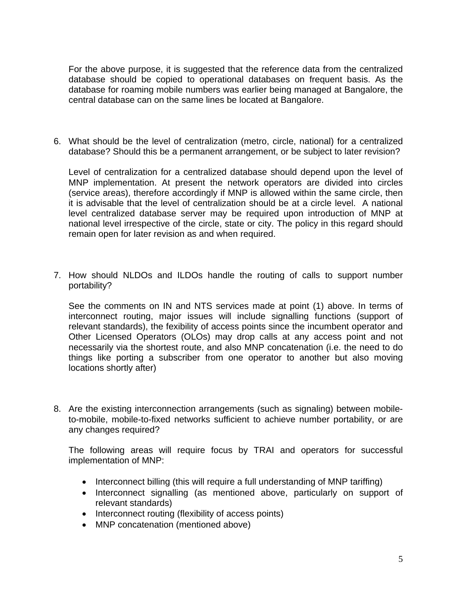For the above purpose, it is suggested that the reference data from the centralized database should be copied to operational databases on frequent basis. As the database for roaming mobile numbers was earlier being managed at Bangalore, the central database can on the same lines be located at Bangalore.

6. What should be the level of centralization (metro, circle, national) for a centralized database? Should this be a permanent arrangement, or be subject to later revision?

Level of centralization for a centralized database should depend upon the level of MNP implementation. At present the network operators are divided into circles (service areas), therefore accordingly if MNP is allowed within the same circle, then it is advisable that the level of centralization should be at a circle level. A national level centralized database server may be required upon introduction of MNP at national level irrespective of the circle, state or city. The policy in this regard should remain open for later revision as and when required.

7. How should NLDOs and ILDOs handle the routing of calls to support number portability?

See the comments on IN and NTS services made at point (1) above. In terms of interconnect routing, major issues will include signalling functions (support of relevant standards), the fexibility of access points since the incumbent operator and Other Licensed Operators (OLOs) may drop calls at any access point and not necessarily via the shortest route, and also MNP concatenation (i.e. the need to do things like porting a subscriber from one operator to another but also moving locations shortly after)

8. Are the existing interconnection arrangements (such as signaling) between mobileto-mobile, mobile-to-fixed networks sufficient to achieve number portability, or are any changes required?

The following areas will require focus by TRAI and operators for successful implementation of MNP:

- Interconnect billing (this will require a full understanding of MNP tariffing)
- Interconnect signalling (as mentioned above, particularly on support of relevant standards)
- Interconnect routing (flexibility of access points)
- MNP concatenation (mentioned above)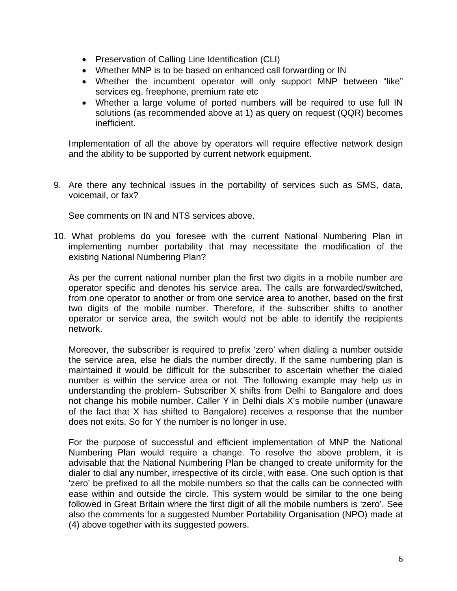- Preservation of Calling Line Identification (CLI)
- Whether MNP is to be based on enhanced call forwarding or IN
- Whether the incumbent operator will only support MNP between "like" services eg. freephone, premium rate etc
- Whether a large volume of ported numbers will be required to use full IN solutions (as recommended above at 1) as query on request (QQR) becomes inefficient.

Implementation of all the above by operators will require effective network design and the ability to be supported by current network equipment.

9. Are there any technical issues in the portability of services such as SMS, data, voicemail, or fax?

See comments on IN and NTS services above.

10. What problems do you foresee with the current National Numbering Plan in implementing number portability that may necessitate the modification of the existing National Numbering Plan?

As per the current national number plan the first two digits in a mobile number are operator specific and denotes his service area. The calls are forwarded/switched, from one operator to another or from one service area to another, based on the first two digits of the mobile number. Therefore, if the subscriber shifts to another operator or service area, the switch would not be able to identify the recipients network.

Moreover, the subscriber is required to prefix 'zero' when dialing a number outside the service area, else he dials the number directly. If the same numbering plan is maintained it would be difficult for the subscriber to ascertain whether the dialed number is within the service area or not. The following example may help us in understanding the problem- Subscriber X shifts from Delhi to Bangalore and does not change his mobile number. Caller Y in Delhi dials X's mobile number (unaware of the fact that X has shifted to Bangalore) receives a response that the number does not exits. So for Y the number is no longer in use.

For the purpose of successful and efficient implementation of MNP the National Numbering Plan would require a change. To resolve the above problem, it is advisable that the National Numbering Plan be changed to create uniformity for the dialer to dial any number, irrespective of its circle, with ease. One such option is that 'zero' be prefixed to all the mobile numbers so that the calls can be connected with ease within and outside the circle. This system would be similar to the one being followed in Great Britain where the first digit of all the mobile numbers is 'zero'. See also the comments for a suggested Number Portability Organisation (NPO) made at (4) above together with its suggested powers.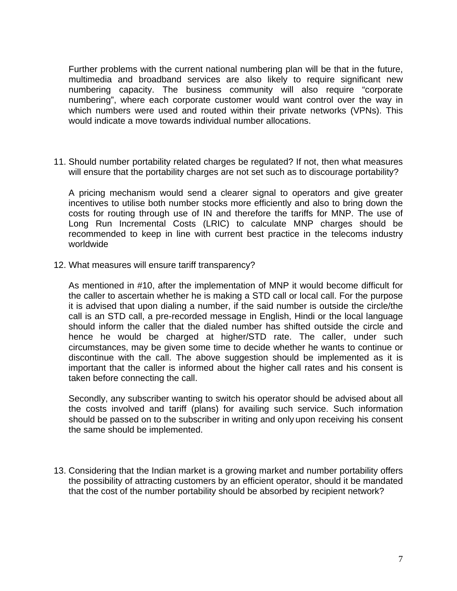Further problems with the current national numbering plan will be that in the future, multimedia and broadband services are also likely to require significant new numbering capacity. The business community will also require "corporate numbering", where each corporate customer would want control over the way in which numbers were used and routed within their private networks (VPNs). This would indicate a move towards individual number allocations.

11. Should number portability related charges be regulated? If not, then what measures will ensure that the portability charges are not set such as to discourage portability?

A pricing mechanism would send a clearer signal to operators and give greater incentives to utilise both number stocks more efficiently and also to bring down the costs for routing through use of IN and therefore the tariffs for MNP. The use of Long Run Incremental Costs (LRIC) to calculate MNP charges should be recommended to keep in line with current best practice in the telecoms industry worldwide

12. What measures will ensure tariff transparency?

As mentioned in #10, after the implementation of MNP it would become difficult for the caller to ascertain whether he is making a STD call or local call. For the purpose it is advised that upon dialing a number, if the said number is outside the circle/the call is an STD call, a pre-recorded message in English, Hindi or the local language should inform the caller that the dialed number has shifted outside the circle and hence he would be charged at higher/STD rate. The caller, under such circumstances, may be given some time to decide whether he wants to continue or discontinue with the call. The above suggestion should be implemented as it is important that the caller is informed about the higher call rates and his consent is taken before connecting the call.

Secondly, any subscriber wanting to switch his operator should be advised about all the costs involved and tariff (plans) for availing such service. Such information should be passed on to the subscriber in writing and only upon receiving his consent the same should be implemented.

13. Considering that the Indian market is a growing market and number portability offers the possibility of attracting customers by an efficient operator, should it be mandated that the cost of the number portability should be absorbed by recipient network?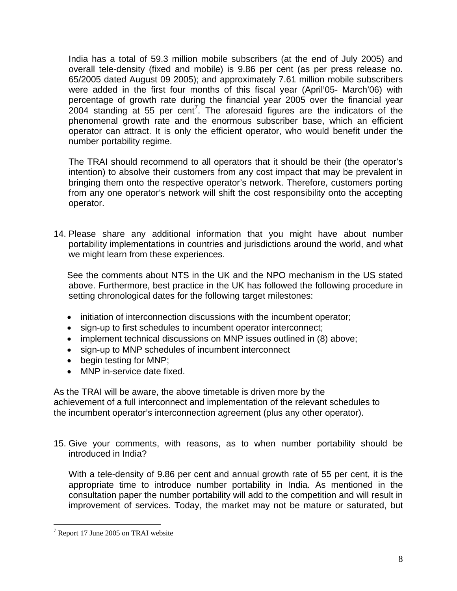India has a total of 59.3 million mobile subscribers (at the end of July 2005) and overall tele-density (fixed and mobile) is 9.86 per cent (as per press release no. 65/2005 dated August 09 2005); and approximately 7.61 million mobile subscribers were added in the first four months of this fiscal year (April'05- March'06) with percentage of growth rate during the financial year 2005 over the financial year  $2004$  standing at 55 per cent<sup>[7](#page-7-0)</sup>. The aforesaid figures are the indicators of the phenomenal growth rate and the enormous subscriber base, which an efficient operator can attract. It is only the efficient operator, who would benefit under the number portability regime.

The TRAI should recommend to all operators that it should be their (the operator's intention) to absolve their customers from any cost impact that may be prevalent in bringing them onto the respective operator's network. Therefore, customers porting from any one operator's network will shift the cost responsibility onto the accepting operator.

14. Please share any additional information that you might have about number portability implementations in countries and jurisdictions around the world, and what we might learn from these experiences.

See the comments about NTS in the UK and the NPO mechanism in the US stated above. Furthermore, best practice in the UK has followed the following procedure in setting chronological dates for the following target milestones:

- initiation of interconnection discussions with the incumbent operator;
- sign-up to first schedules to incumbent operator interconnect;
- implement technical discussions on MNP issues outlined in (8) above;
- sign-up to MNP schedules of incumbent interconnect
- begin testing for MNP;
- MNP in-service date fixed.

As the TRAI will be aware, the above timetable is driven more by the achievement of a full interconnect and implementation of the relevant schedules to the incumbent operator's interconnection agreement (plus any other operator).

15. Give your comments, with reasons, as to when number portability should be introduced in India?

With a tele-density of 9.86 per cent and annual growth rate of 55 per cent, it is the appropriate time to introduce number portability in India. As mentioned in the consultation paper the number portability will add to the competition and will result in improvement of services. Today, the market may not be mature or saturated, but

 $\overline{a}$ 

<span id="page-7-0"></span><sup>&</sup>lt;sup>7</sup> Report 17 June 2005 on TRAI website